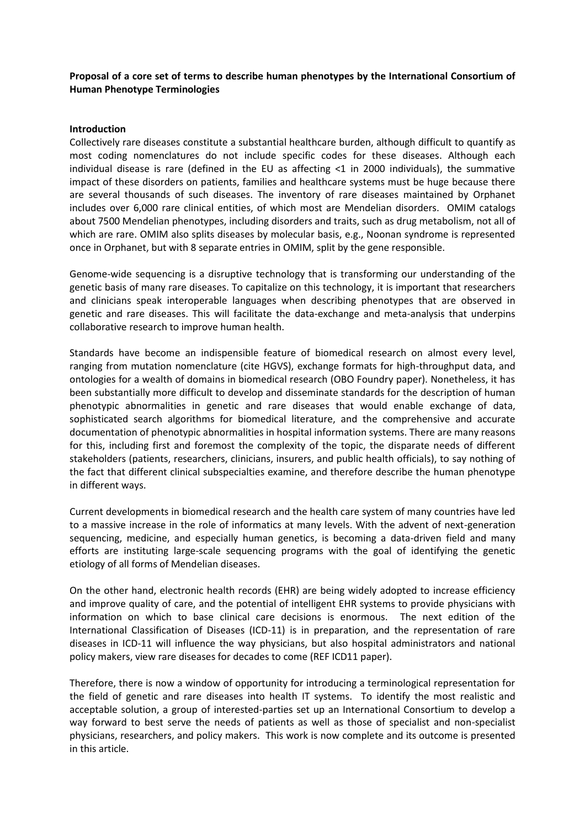## **Proposal of a core set of terms to describe human phenotypes by the International Consortium of Human Phenotype Terminologies**

## **Introduction**

Collectively rare diseases constitute a substantial healthcare burden, although difficult to quantify as most coding nomenclatures do not include specific codes for these diseases. Although each individual disease is rare (defined in the EU as affecting <1 in 2000 individuals), the summative impact of these disorders on patients, families and healthcare systems must be huge because there are several thousands of such diseases. The inventory of rare diseases maintained by Orphanet includes over 6,000 rare clinical entities, of which most are Mendelian disorders. OMIM catalogs about 7500 Mendelian phenotypes, including disorders and traits, such as drug metabolism, not all of which are rare. OMIM also splits diseases by molecular basis, e.g., Noonan syndrome is represented once in Orphanet, but with 8 separate entries in OMIM, split by the gene responsible.

Genome-wide sequencing is a disruptive technology that is transforming our understanding of the genetic basis of many rare diseases. To capitalize on this technology, it is important that researchers and clinicians speak interoperable languages when describing phenotypes that are observed in genetic and rare diseases. This will facilitate the data-exchange and meta-analysis that underpins collaborative research to improve human health.

Standards have become an indispensible feature of biomedical research on almost every level, ranging from mutation nomenclature (cite HGVS), exchange formats for high-throughput data, and ontologies for a wealth of domains in biomedical research (OBO Foundry paper). Nonetheless, it has been substantially more difficult to develop and disseminate standards for the description of human phenotypic abnormalities in genetic and rare diseases that would enable exchange of data, sophisticated search algorithms for biomedical literature, and the comprehensive and accurate documentation of phenotypic abnormalities in hospital information systems. There are many reasons for this, including first and foremost the complexity of the topic, the disparate needs of different stakeholders (patients, researchers, clinicians, insurers, and public health officials), to say nothing of the fact that different clinical subspecialties examine, and therefore describe the human phenotype in different ways.

Current developments in biomedical research and the health care system of many countries have led to a massive increase in the role of informatics at many levels. With the advent of next-generation sequencing, medicine, and especially human genetics, is becoming a data-driven field and many efforts are instituting large-scale sequencing programs with the goal of identifying the genetic etiology of all forms of Mendelian diseases.

On the other hand, electronic health records (EHR) are being widely adopted to increase efficiency and improve quality of care, and the potential of intelligent EHR systems to provide physicians with information on which to base clinical care decisions is enormous. The next edition of the International Classification of Diseases (ICD-11) is in preparation, and the representation of rare diseases in ICD-11 will influence the way physicians, but also hospital administrators and national policy makers, view rare diseases for decades to come (REF ICD11 paper).

Therefore, there is now a window of opportunity for introducing a terminological representation for the field of genetic and rare diseases into health IT systems. To identify the most realistic and acceptable solution, a group of interested-parties set up an International Consortium to develop a way forward to best serve the needs of patients as well as those of specialist and non-specialist physicians, researchers, and policy makers. This work is now complete and its outcome is presented in this article.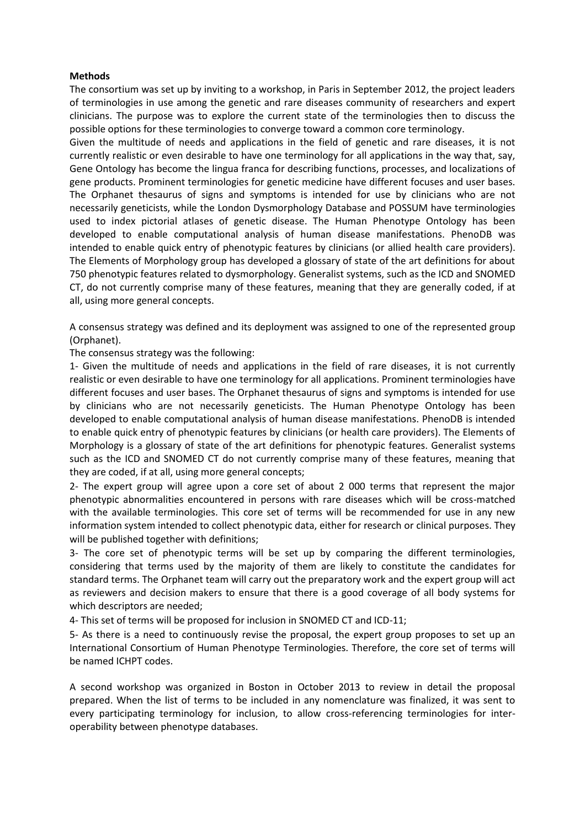## **Methods**

The consortium was set up by inviting to a workshop, in Paris in September 2012, the project leaders of terminologies in use among the genetic and rare diseases community of researchers and expert clinicians. The purpose was to explore the current state of the terminologies then to discuss the possible options for these terminologies to converge toward a common core terminology.

Given the multitude of needs and applications in the field of genetic and rare diseases, it is not currently realistic or even desirable to have one terminology for all applications in the way that, say, Gene Ontology has become the lingua franca for describing functions, processes, and localizations of gene products. Prominent terminologies for genetic medicine have different focuses and user bases. The Orphanet thesaurus of signs and symptoms is intended for use by clinicians who are not necessarily geneticists, while the London Dysmorphology Database and POSSUM have terminologies used to index pictorial atlases of genetic disease. The Human Phenotype Ontology has been developed to enable computational analysis of human disease manifestations. PhenoDB was intended to enable quick entry of phenotypic features by clinicians (or allied health care providers). The Elements of Morphology group has developed a glossary of state of the art definitions for about 750 phenotypic features related to dysmorphology. Generalist systems, such as the ICD and SNOMED CT, do not currently comprise many of these features, meaning that they are generally coded, if at all, using more general concepts.

A consensus strategy was defined and its deployment was assigned to one of the represented group (Orphanet).

The consensus strategy was the following:

1- Given the multitude of needs and applications in the field of rare diseases, it is not currently realistic or even desirable to have one terminology for all applications. Prominent terminologies have different focuses and user bases. The Orphanet thesaurus of signs and symptoms is intended for use by clinicians who are not necessarily geneticists. The Human Phenotype Ontology has been developed to enable computational analysis of human disease manifestations. PhenoDB is intended to enable quick entry of phenotypic features by clinicians (or health care providers). The Elements of Morphology is a glossary of state of the art definitions for phenotypic features. Generalist systems such as the ICD and SNOMED CT do not currently comprise many of these features, meaning that they are coded, if at all, using more general concepts;

2- The expert group will agree upon a core set of about 2 000 terms that represent the major phenotypic abnormalities encountered in persons with rare diseases which will be cross-matched with the available terminologies. This core set of terms will be recommended for use in any new information system intended to collect phenotypic data, either for research or clinical purposes. They will be published together with definitions;

3- The core set of phenotypic terms will be set up by comparing the different terminologies, considering that terms used by the majority of them are likely to constitute the candidates for standard terms. The Orphanet team will carry out the preparatory work and the expert group will act as reviewers and decision makers to ensure that there is a good coverage of all body systems for which descriptors are needed;

4- This set of terms will be proposed for inclusion in SNOMED CT and ICD-11;

5- As there is a need to continuously revise the proposal, the expert group proposes to set up an International Consortium of Human Phenotype Terminologies. Therefore, the core set of terms will be named ICHPT codes.

A second workshop was organized in Boston in October 2013 to review in detail the proposal prepared. When the list of terms to be included in any nomenclature was finalized, it was sent to every participating terminology for inclusion, to allow cross-referencing terminologies for interoperability between phenotype databases.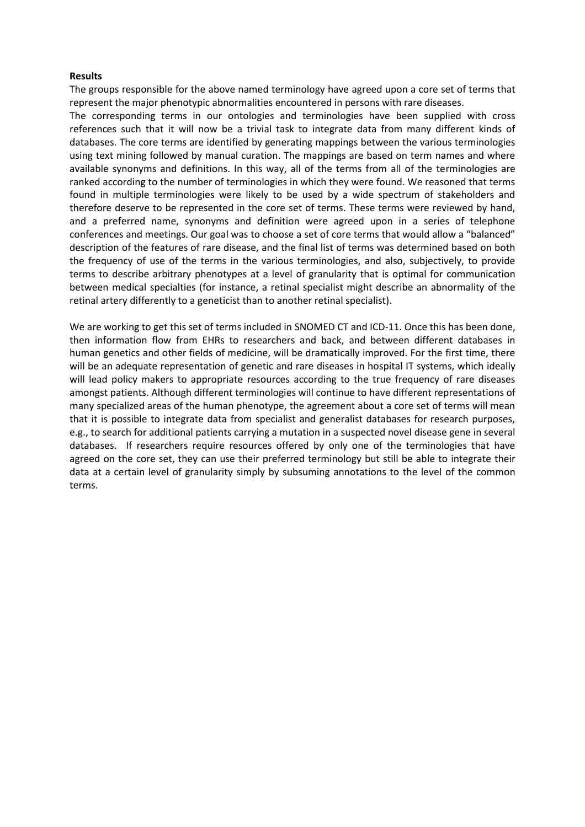## **Results**

The groups responsible for the above named terminology have agreed upon a core set of terms that represent the major phenotypic abnormalities encountered in persons with rare diseases.

The corresponding terms in our ontologies and terminologies have been supplied with cross references such that it will now be a trivial task to integrate data from many different kinds of databases. The core terms are identified by generating mappings between the various terminologies using text mining followed by manual curation. The mappings are based on term names and where available synonyms and definitions. In this way, all of the terms from all of the terminologies are ranked according to the number of terminologies in which they were found. We reasoned that terms found in multiple terminologies were likely to be used by a wide spectrum of stakeholders and therefore deserve to be represented in the core set of terms. These terms were reviewed by hand, and a preferred name, synonyms and definition were agreed upon in a series of telephone conferences and meetings. Our goal was to choose a set of core terms that would allow a "balanced" description of the features of rare disease, and the final list of terms was determined based on both the frequency of use of the terms in the various terminologies, and also, subjectively, to provide terms to describe arbitrary phenotypes at a level of granularity that is optimal for communication between medical specialties (for instance, a retinal specialist might describe an abnormality of the retinal artery differently to a geneticist than to another retinal specialist).

We are working to get this set of terms included in SNOMED CT and ICD-11. Once this has been done, then information flow from EHRs to researchers and back, and between different databases in human genetics and other fields of medicine, will be dramatically improved. For the first time, there will be an adequate representation of genetic and rare diseases in hospital IT systems, which ideally will lead policy makers to appropriate resources according to the true frequency of rare diseases amongst patients. Although different terminologies will continue to have different representations of many specialized areas of the human phenotype, the agreement about a core set of terms will mean that it is possible to integrate data from specialist and generalist databases for research purposes, e.g., to search for additional patients carrying a mutation in a suspected novel disease gene in several databases. If researchers require resources offered by only one of the terminologies that have agreed on the core set, they can use their preferred terminology but still be able to integrate their data at a certain level of granularity simply by subsuming annotations to the level of the common terms.